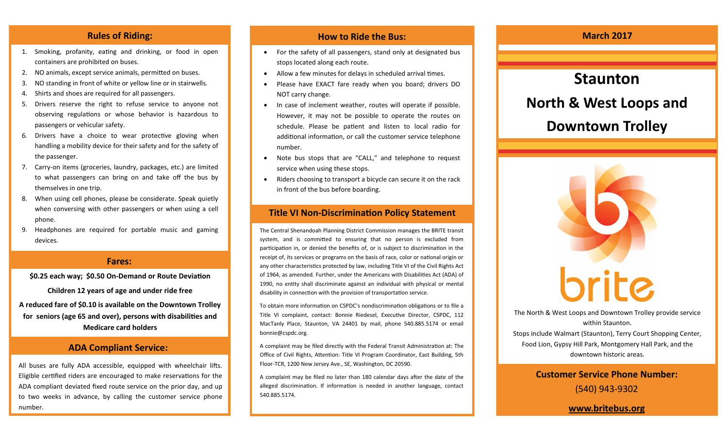- 1. Smoking, profanity, eating and drinking, or food in open containers are prohibited on buses.
- 2. NO animals, except service animals, permitted on buses.
- 3. NO standing in front of white or yellow line or in stairwells.
- 4. Shirts and shoes are required for all passengers.
- 5. Drivers reserve the right to refuse service to anyone not observing regulations or whose behavior is hazardous to passengers or vehicular safety.
- 6. Drivers have a choice to wear protective gloving when handling a mobility device for their safety and for the safety of the passenger.
- 7. Carry-on items (groceries, laundry, packages, etc.) are limited to what passengers can bring on and take off the bus by themselves in one trip.
- 8. When using cell phones, please be considerate. Speak quietly when conversing with other passengers or when using a cell phone.
- 9. Headphones are required for portable music and gaming devices.

### **Fares:**

**\$0.25 each way; \$0.50 On-Demand or Route Deviation** 

**Children 12 years of age and under ride free A reduced fare of \$0.10 is available on the Downtown Trolley for seniors (age 65 and over), persons with disabilities and Medicare card holders**

# **ADA Compliant Service:**

All buses are fully ADA accessible, equipped with wheelchair lifts. Eligible certified riders are encouraged to make reservations for the ADA compliant deviated fixed route service on the prior day, and up to two weeks in advance, by calling the customer service phone number.

# **Rules of Riding: How to Ride the Bus: How to Ride the Bus: March 2017**

- For the safety of all passengers, stand only at designated bus stops located along each route.
- Allow a few minutes for delays in scheduled arrival times.
- Please have EXACT fare ready when you board; drivers DO NOT carry change.
- In case of inclement weather, routes will operate if possible. However, it may not be possible to operate the routes on schedule. Please be patient and listen to local radio for additional information, or call the customer service telephone number.
- Note bus stops that are "CALL," and telephone to request service when using these stops.
- Riders choosing to transport a bicycle can secure it on the rack in front of the bus before boarding.

# **Title VI Non-Discrimination Policy Statement**

The Central Shenandoah Planning District Commission manages the BRITE transit system, and is committed to ensuring that no person is excluded from participation in, or denied the benefits of, or is subject to discrimination in the receipt of, its services or programs on the basis of race, color or national origin or any other characteristics protected by law, including Title VI of the Civil Rights Act of 1964, as amended. Further, under the Americans with Disabilities Act (ADA) of 1990, no entity shall discriminate against an individual with physical or mental disability in connection with the provision of transportation service.

To obtain more information on CSPDC's nondiscrimination obligations or to file a Title VI complaint, contact: Bonnie Riedesel, Executive Director, CSPDC, 112 MacTanly Place, Staunton, VA 24401 by mail, phone 540.885.5174 or email bonnie@cspdc.org.

A complaint may be filed directly with the Federal Transit Administration at: The Office of Civil Rights, Attention: Title VI Program Coordinator, East Building, 5th Floor-TCR, 1200 New Jersey Ave., SE, Washington, DC 20590.

A complaint may be filed no later than 180 calendar days after the date of the alleged discrimination. If information is needed in another language, contact 540.885.5174.



The North & West Loops and Downtown Trolley provide service within Staunton. Stops include Walmart (Staunton), Terry Court Shopping Center, Food Lion, Gypsy Hill Park, Montgomery Hall Park, and the

downtown historic areas.

**Customer Service Phone Number:**  (540) 943-9302

**www.britebus.org**